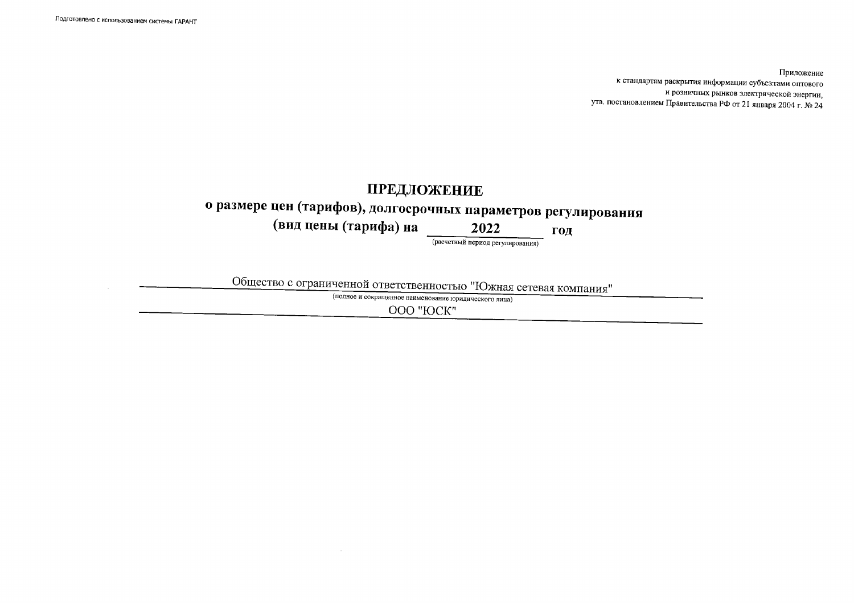Приложение к стандартам раскрытия информации субъектами оптового и розничных рынков электрической энергии, утв. постановлением Правительства РФ от 21 января 2004 г. № 24

## ПРЕДЛОЖЕНИЕ о размере цен (тарифов), долгосрочных параметров регулирования (вид цены (тарифа) на 2022 ГОД (расчетный период регулирования)

Общество с ограниченной ответственностью "Южная сетевая компания"

(полное и сокращенное наименование юридического лица)

OOO "ЮСК"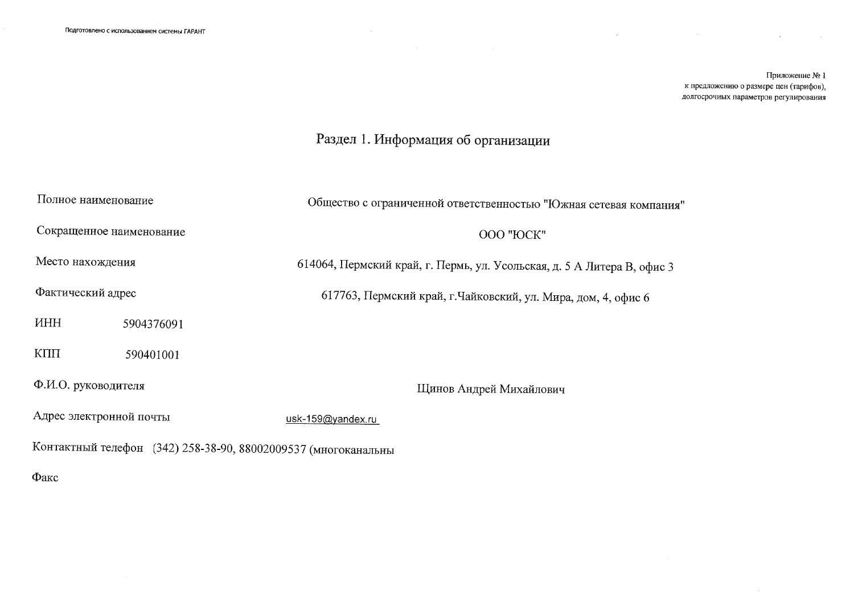Приложение № 1 к предложению о размере цен (тарифов), долгосрочных параметров регулирования

 $\sim 10^7$ 

## Раздел 1. Информация об организации

| Полное наименование                                            |            | Общество с ограниченной ответственностью "Южная сетевая компания"       |  |  |  |  |
|----------------------------------------------------------------|------------|-------------------------------------------------------------------------|--|--|--|--|
| Сокращенное наименование                                       |            | OOO "ЮСК"                                                               |  |  |  |  |
| Место нахождения                                               |            | 614064, Пермский край, г. Пермь, ул. Усольская, д. 5 А Литера В, офис 3 |  |  |  |  |
| Фактический адрес                                              |            | 617763, Пермский край, г. Чайковский, ул. Мира, дом, 4, офис 6          |  |  |  |  |
| <b>HHH</b>                                                     | 5904376091 |                                                                         |  |  |  |  |
| КПП                                                            | 590401001  |                                                                         |  |  |  |  |
| Ф.И.О. руководителя                                            |            | Щинов Андрей Михайлович                                                 |  |  |  |  |
| Адрес электронной почты                                        |            | usk-159@yandex.ru                                                       |  |  |  |  |
| Контактный телефон (342) 258-38-90, 88002009537 (многоканальны |            |                                                                         |  |  |  |  |
| Факс                                                           |            |                                                                         |  |  |  |  |

 $\sim$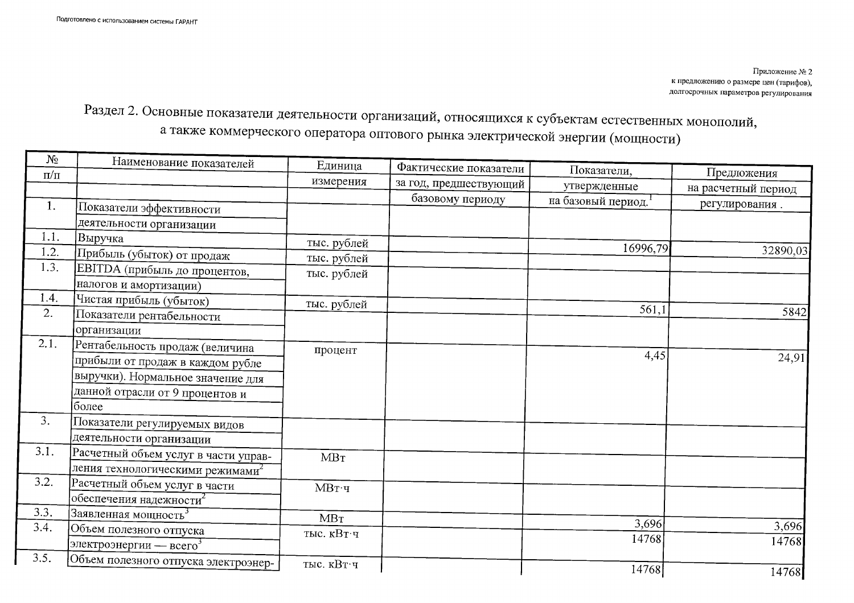Приложение № 2 к предложению о размере цен (тарифов), долгосрочных параметров регулирования

Раздел 2. Основные показатели деятельности организаций, относящихся к субъектам естественных монополий, а также коммерческого оператора оптового рынка электрической энергии (мощности)

| $N_2$     | Наименование показателей                     | Единица       | Фактические показатели |                    |                     |
|-----------|----------------------------------------------|---------------|------------------------|--------------------|---------------------|
| $\Pi/\Pi$ |                                              | измерения     | за год, предшествующий | Показатели.        | Предложения         |
|           |                                              |               |                        | утвержденные       | на расчетный период |
| 1.        | Показатели эффективности                     |               | базовому периоду       | на базовый период. | регулирования.      |
|           | деятельности организации                     |               |                        |                    |                     |
| 1.1.      | Выручка                                      | тыс. рублей   |                        |                    |                     |
| 1.2.      | Прибыль (убыток) от продаж                   | тыс. рублей   |                        | 16996,79           | 32890,03            |
| 1.3.      | ЕВІТДА (прибыль до процентов,                | тыс. рублей   |                        |                    |                     |
|           | налогов и амортизации)                       |               |                        |                    |                     |
| 1.4.      | Чистая прибыль (убыток)                      | тыс. рублей   |                        |                    |                     |
| 2.        | Показатели рентабельности                    |               |                        | 561,1              | 5842                |
|           | организации                                  |               |                        |                    |                     |
| 2.1.      | Рентабельность продаж (величина              | процент       |                        |                    |                     |
|           | прибыли от продаж в каждом рубле             |               |                        | 4,45               | 24,91               |
|           | выручки). Нормальное значение для            |               |                        |                    |                     |
|           | данной отрасли от 9 процентов и              |               |                        |                    |                     |
|           | более                                        |               |                        |                    |                     |
| 3.        | Показатели регулируемых видов                |               |                        |                    |                     |
|           | деятельности организации                     |               |                        |                    |                     |
| 3.1.      | Расчетный объем услуг в части управ-         | MBT           |                        |                    |                     |
|           | ления технологическими режимами <sup>2</sup> |               |                        |                    |                     |
| 3.2.      | Расчетный объем услуг в части                | <b>МВт</b> ·ч |                        |                    |                     |
|           | обеспечения надежности $^2$                  |               |                        |                    |                     |
| 3.3.      | Заявленная мощность <sup>3</sup>             | MBT           |                        |                    |                     |
| 3.4.      | Объем полезного отпуска                      | тыс. кВт ч    |                        | 3,696              | 3,696               |
|           | электроэнергии — всего <sup>3</sup>          |               |                        | 14768              | 14768               |
| 3.5.      | Объем полезного отпуска электроэнер-         | тыс. кВт ч    |                        |                    |                     |
|           |                                              |               |                        | 14768              | 14768               |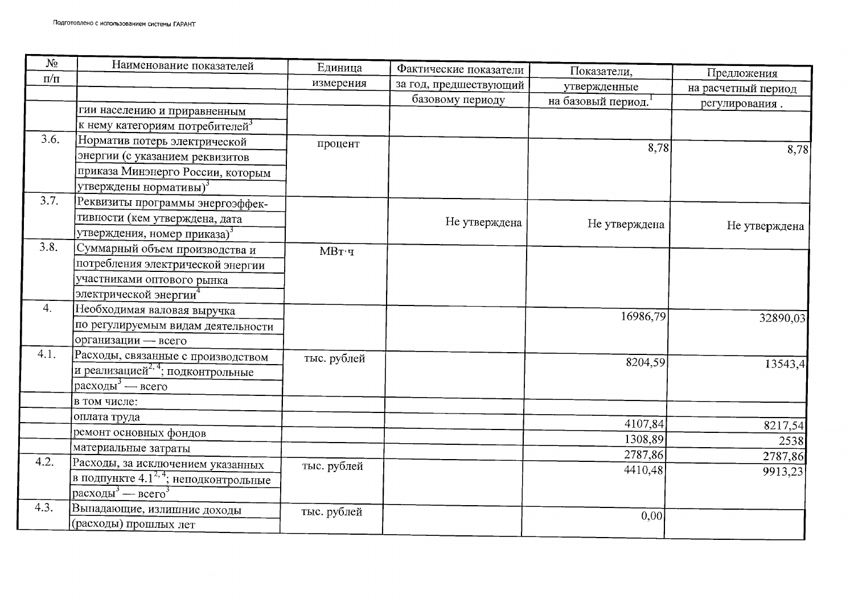| $N_2$         | Наименование показателей                           | Единица     | Фактические показатели | Показатели,        | Предложения         |  |
|---------------|----------------------------------------------------|-------------|------------------------|--------------------|---------------------|--|
| $\Pi\!/\!\Pi$ |                                                    | измерения   | за год, предшествующий | утвержденные       | на расчетный период |  |
|               |                                                    |             | базовому периоду       | на базовый период. | регулирования.      |  |
|               | гии населению и приравненным                       |             |                        |                    |                     |  |
|               | к нему категориям потребителей <sup>3</sup>        |             |                        |                    |                     |  |
| 3.6.          | Норматив потерь электрической                      | процент     |                        | 8,78               | 8,78                |  |
|               | энергии (с указанием реквизитов                    |             |                        |                    |                     |  |
|               | приказа Минэнерго России, которым                  |             |                        |                    |                     |  |
|               | утверждены нормативы) <sup>3</sup>                 |             |                        |                    |                     |  |
| 3.7.          | Реквизиты программы энергоэффек-                   |             |                        |                    |                     |  |
|               | тивности (кем утверждена, дата                     |             | Не утверждена          | Не утверждена      |                     |  |
|               | утверждения, номер приказа) <sup>3</sup>           |             |                        |                    | Не утверждена       |  |
| 3.8.          | Суммарный объем производства и                     | $MB$ т·ч    |                        |                    |                     |  |
|               | потребления электрической энергии                  |             |                        |                    |                     |  |
|               | участниками оптового рынка                         |             |                        |                    |                     |  |
|               | электрической энергии <sup>4</sup>                 |             |                        |                    |                     |  |
| 4.            | Необходимая валовая выручка                        |             |                        | 16986,79           |                     |  |
|               | по регулируемым видам деятельности                 |             |                        |                    | 32890,03            |  |
|               | организации - всего                                |             |                        |                    |                     |  |
| 4.1.          | Расходы, связанные с производством                 | тыс. рублей |                        | 8204,59            |                     |  |
|               | и реализацией <sup>2, 4</sup> ; подконтрольные     |             |                        |                    | 13543,4             |  |
|               | расходы <sup>3</sup> — всего                       |             |                        |                    |                     |  |
|               | в том числе:                                       |             |                        |                    |                     |  |
|               | оплата труда                                       |             |                        | 4107,84            |                     |  |
|               | ремонт основных фондов                             |             |                        | 1308,89            | 8217,54             |  |
|               | материальные затраты                               |             |                        | 2787,86            | 2538                |  |
| 4.2.          | Расходы, за исключением указанных                  | тыс. рублей |                        | 4410,48            | 2787,86             |  |
|               | в подпункте 4.1 <sup>2, 4</sup> ; неподконтрольные |             |                        |                    | 9913,23             |  |
|               | расходы <sup>3</sup> — всего <sup>3</sup>          |             |                        |                    |                     |  |
| 4.3.          | Выпадающие, излишние доходы                        | тыс. рублей |                        | 0,00               |                     |  |
|               | (расходы) прошлых лет                              |             |                        |                    |                     |  |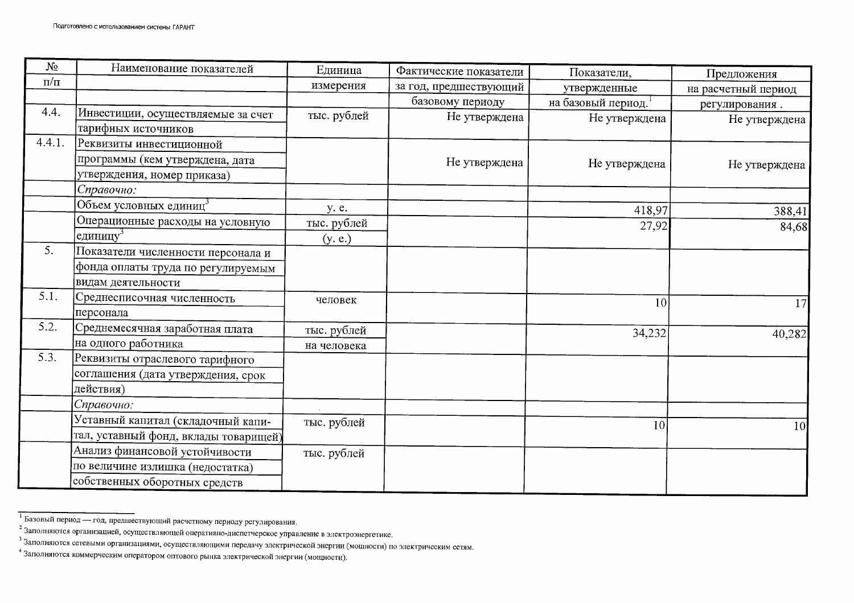| $N_2$     | Наименование показателей              | Единица     | Фактические показатели | Показатели,        | Предложения         |  |
|-----------|---------------------------------------|-------------|------------------------|--------------------|---------------------|--|
| $\pi/\pi$ |                                       | измерения   | за год, предшествующий | утвержденные       | на расчетный период |  |
|           |                                       |             | базовому периоду       | на базовый период. | регулирования.      |  |
| 4.4.      | Инвестиции, осуществляемые за счет    | тыс. рублей | Не утверждена          | Не утверждена      | Не утверждена       |  |
|           | тарифных источников                   |             |                        |                    |                     |  |
| 4.4.1.    | Реквизиты инвестиционной              |             |                        |                    |                     |  |
|           | программы (кем утверждена, дата       |             | Не утверждена          | Не утверждена      | Не утверждена       |  |
|           | утверждения, номер приказа)           |             |                        |                    |                     |  |
|           | Справочно:                            |             |                        |                    |                     |  |
|           | Объем условных единиц <sup>3</sup>    | y. e.       |                        | 418,97             | 388,41              |  |
|           | Операционные расходы на условную      | тыс. рублей |                        | 27,92              | 84,68               |  |
|           | 'единицу $^3$                         | (y, e.)     |                        |                    |                     |  |
| 5.        | Показатели численности персонала и    |             |                        |                    |                     |  |
|           | фонда оплаты труда по регулируемым    |             |                        |                    |                     |  |
|           | видам деятельности                    |             |                        |                    |                     |  |
| 5.1.      | Среднесписочная численность           | человек     |                        | 10                 | 17                  |  |
|           | персонала                             |             |                        |                    |                     |  |
| 5.2.      | Среднемесячная заработная плата       | тыс. рублей |                        | 34,232             | 40,282              |  |
|           | на одного работника                   | на человека |                        |                    |                     |  |
| 5.3.      | Реквизиты отраслевого тарифного       |             |                        |                    |                     |  |
|           | соглашения (дата утверждения, срок    |             |                        |                    |                     |  |
|           | действия)                             |             |                        |                    |                     |  |
|           | Справочно:                            |             |                        |                    |                     |  |
|           | Уставный капитал (складочный капи-    | тыс. рублей |                        | 10                 | 10 <sup>1</sup>     |  |
|           | тал, уставный фонд, вклады товарищей) |             |                        |                    |                     |  |
|           | Анализ финансовой устойчивости        | тыс. рублей |                        |                    |                     |  |
|           | по величине излишка (недостатка)      |             |                        |                    |                     |  |
|           | собственных оборотных средств         |             |                        |                    |                     |  |

<sup>-&</sup>lt;br>Базовый период — год, предшествующий расчетному периоду регулирования.

<sup>2</sup> Заполняются организацией, осуществляющей оперативно-диспетчерское управление в электроэнергетике.

з Заполняются сетевыми организациями, осуществляющими передачу электрической энергии (мощности) по электрическим сетям.

<sup>4</sup> Заполняются коммерческим оператором оптового рынка электрической энергии (мощности).